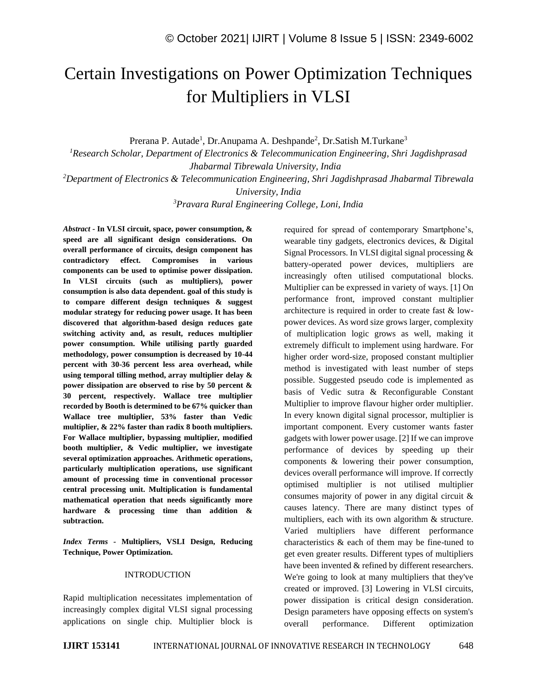# Certain Investigations on Power Optimization Techniques for Multipliers in VLSI

Prerana P. Autade<sup>1</sup>, Dr.Anupama A. Deshpande<sup>2</sup>, Dr.Satish M.Turkane<sup>3</sup>

*<sup>1</sup>Research Scholar, Department of Electronics & Telecommunication Engineering, Shri Jagdishprasad Jhabarmal Tibrewala University, India <sup>2</sup>Department of Electronics & Telecommunication Engineering, Shri Jagdishprasad Jhabarmal Tibrewala University, India <sup>3</sup>Pravara Rural Engineering College, Loni, India*

*Abstract -* **In VLSI circuit, space, power consumption, & speed are all significant design considerations. On overall performance of circuits, design component has contradictory effect. Compromises in various components can be used to optimise power dissipation. In VLSI circuits (such as multipliers), power consumption is also data dependent. goal of this study is to compare different design techniques & suggest modular strategy for reducing power usage. It has been discovered that algorithm-based design reduces gate switching activity and, as result, reduces multiplier power consumption. While utilising partly guarded methodology, power consumption is decreased by 10-44 percent with 30-36 percent less area overhead, while using temporal tilling method, array multiplier delay & power dissipation are observed to rise by 50 percent & 30 percent, respectively. Wallace tree multiplier recorded by Booth is determined to be 67% quicker than Wallace tree multiplier, 53% faster than Vedic multiplier, & 22% faster than radix 8 booth multipliers. For Wallace multiplier, bypassing multiplier, modified booth multiplier, & Vedic multiplier, we investigate several optimization approaches. Arithmetic operations, particularly multiplication operations, use significant amount of processing time in conventional processor central processing unit. Multiplication is fundamental mathematical operation that needs significantly more hardware & processing time than addition & subtraction.**

*Index Terms -* **Multipliers, VSLI Design, Reducing Technique, Power Optimization.**

## INTRODUCTION

Rapid multiplication necessitates implementation of increasingly complex digital VLSI signal processing applications on single chip. Multiplier block is required for spread of contemporary Smartphone's, wearable tiny gadgets, electronics devices, & Digital Signal Processors. In VLSI digital signal processing & battery-operated power devices, multipliers are increasingly often utilised computational blocks. Multiplier can be expressed in variety of ways. [1] On performance front, improved constant multiplier architecture is required in order to create fast & lowpower devices. As word size grows larger, complexity of multiplication logic grows as well, making it extremely difficult to implement using hardware. For higher order word-size, proposed constant multiplier method is investigated with least number of steps possible. Suggested pseudo code is implemented as basis of Vedic sutra & Reconfigurable Constant Multiplier to improve flavour higher order multiplier. In every known digital signal processor, multiplier is important component. Every customer wants faster gadgets with lower power usage. [2] If we can improve performance of devices by speeding up their components & lowering their power consumption, devices overall performance will improve. If correctly optimised multiplier is not utilised multiplier consumes majority of power in any digital circuit & causes latency. There are many distinct types of multipliers, each with its own algorithm & structure. Varied multipliers have different performance characteristics & each of them may be fine-tuned to get even greater results. Different types of multipliers have been invented & refined by different researchers. We're going to look at many multipliers that they've created or improved. [3] Lowering in VLSI circuits, power dissipation is critical design consideration. Design parameters have opposing effects on system's overall performance. Different optimization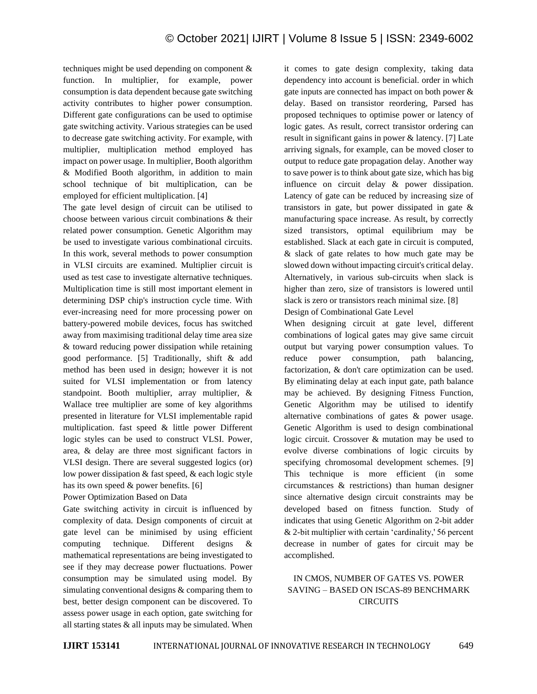techniques might be used depending on component & function. In multiplier, for example, power consumption is data dependent because gate switching activity contributes to higher power consumption. Different gate configurations can be used to optimise gate switching activity. Various strategies can be used to decrease gate switching activity. For example, with multiplier, multiplication method employed has impact on power usage. In multiplier, Booth algorithm & Modified Booth algorithm, in addition to main school technique of bit multiplication, can be employed for efficient multiplication. [4]

The gate level design of circuit can be utilised to choose between various circuit combinations & their related power consumption. Genetic Algorithm may be used to investigate various combinational circuits. In this work, several methods to power consumption in VLSI circuits are examined. Multiplier circuit is used as test case to investigate alternative techniques. Multiplication time is still most important element in determining DSP chip's instruction cycle time. With ever-increasing need for more processing power on battery-powered mobile devices, focus has switched away from maximising traditional delay time area size & toward reducing power dissipation while retaining good performance. [5] Traditionally, shift & add method has been used in design; however it is not suited for VLSI implementation or from latency standpoint. Booth multiplier, array multiplier, & Wallace tree multiplier are some of key algorithms presented in literature for VLSI implementable rapid multiplication. fast speed & little power Different logic styles can be used to construct VLSI. Power, area, & delay are three most significant factors in VLSI design. There are several suggested logics (or) low power dissipation & fast speed, & each logic style has its own speed & power benefits. [6]

Power Optimization Based on Data

Gate switching activity in circuit is influenced by complexity of data. Design components of circuit at gate level can be minimised by using efficient computing technique. Different designs mathematical representations are being investigated to see if they may decrease power fluctuations. Power consumption may be simulated using model. By simulating conventional designs & comparing them to best, better design component can be discovered. To assess power usage in each option, gate switching for all starting states & all inputs may be simulated. When it comes to gate design complexity, taking data dependency into account is beneficial. order in which gate inputs are connected has impact on both power & delay. Based on transistor reordering, Parsed has proposed techniques to optimise power or latency of logic gates. As result, correct transistor ordering can result in significant gains in power & latency. [7] Late arriving signals, for example, can be moved closer to output to reduce gate propagation delay. Another way to save power is to think about gate size, which has big influence on circuit delay & power dissipation. Latency of gate can be reduced by increasing size of transistors in gate, but power dissipated in gate & manufacturing space increase. As result, by correctly sized transistors, optimal equilibrium may be established. Slack at each gate in circuit is computed, & slack of gate relates to how much gate may be slowed down without impacting circuit's critical delay. Alternatively, in various sub-circuits when slack is higher than zero, size of transistors is lowered until slack is zero or transistors reach minimal size. [8]

Design of Combinational Gate Level

When designing circuit at gate level, different combinations of logical gates may give same circuit output but varying power consumption values. To reduce power consumption, path balancing, factorization, & don't care optimization can be used. By eliminating delay at each input gate, path balance may be achieved. By designing Fitness Function, Genetic Algorithm may be utilised to identify alternative combinations of gates & power usage. Genetic Algorithm is used to design combinational logic circuit. Crossover & mutation may be used to evolve diverse combinations of logic circuits by specifying chromosomal development schemes. [9] This technique is more efficient (in some circumstances & restrictions) than human designer since alternative design circuit constraints may be developed based on fitness function. Study of indicates that using Genetic Algorithm on 2-bit adder & 2-bit multiplier with certain 'cardinality,' 56 percent decrease in number of gates for circuit may be accomplished.

# IN CMOS, NUMBER OF GATES VS. POWER SAVING – BASED ON ISCAS-89 BENCHMARK **CIRCUITS**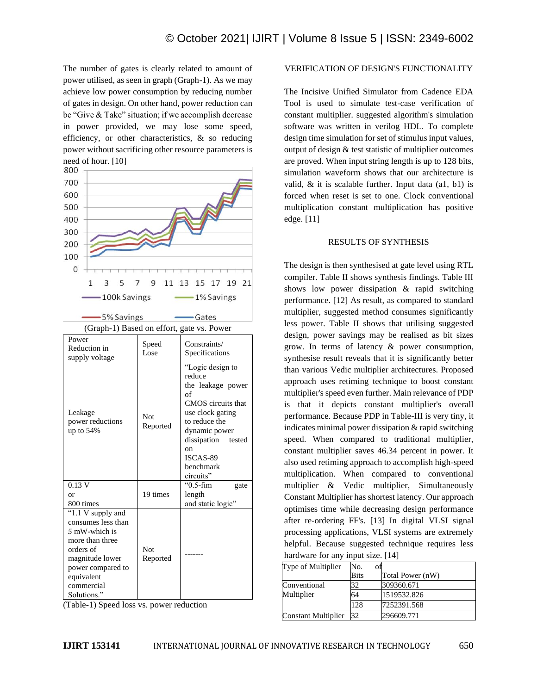The number of gates is clearly related to amount of power utilised, as seen in graph (Graph-1). As we may achieve low power consumption by reducing number of gates in design. On other hand, power reduction can be "Give & Take" situation; if we accomplish decrease in power provided, we may lose some speed, efficiency, or other characteristics, & so reducing power without sacrificing other resource parameters is



#### VERIFICATION OF DESIGN'S FUNCTIONALITY

The Incisive Unified Simulator from Cadence EDA Tool is used to simulate test-case verification of constant multiplier. suggested algorithm's simulation software was written in verilog HDL. To complete design time simulation for set of stimulus input values, output of design & test statistic of multiplier outcomes are proved. When input string length is up to 128 bits, simulation waveform shows that our architecture is valid, & it is scalable further. Input data (a1, b1) is forced when reset is set to one. Clock conventional multiplication constant multiplication has positive edge. [11]

#### RESULTS OF SYNTHESIS

The design is then synthesised at gate level using RTL compiler. Table II shows synthesis findings. Table III shows low power dissipation & rapid switching performance. [12] As result, as compared to standard multiplier, suggested method consumes significantly less power. Table II shows that utilising suggested design, power savings may be realised as bit sizes grow. In terms of latency & power consumption, synthesise result reveals that it is significantly better than various Vedic multiplier architectures. Proposed approach uses retiming technique to boost constant multiplier's speed even further. Main relevance of PDP is that it depicts constant multiplier's overall performance. Because PDP in Table-III is very tiny, it indicates minimal power dissipation & rapid switching speed. When compared to traditional multiplier, constant multiplier saves 46.34 percent in power. It also used retiming approach to accomplish high-speed multiplication. When compared to conventional multiplier & Vedic multiplier, Simultaneously Constant Multiplier has shortest latency. Our approach optimises time while decreasing design performance after re-ordering FF's. [13] In digital VLSI signal processing applications, VLSI systems are extremely helpful. Because suggested technique requires less hardware for any input size. [14]

| Type of Multiplier  | No.<br>ΟĪ   |                  |
|---------------------|-------------|------------------|
|                     | <b>Bits</b> | Total Power (nW) |
| Conventional        | 32          | 309360.671       |
| Multiplier          | 64          | 1519532.826      |
|                     | 128         | 7252391.568      |
| Constant Multiplier | 32          | 296609.771       |

(Table-1) Speed loss vs. power reduction

Not Reported

*5* mW-which is more than three orders of magnitude lower power compared to equivalent commercial Solutions."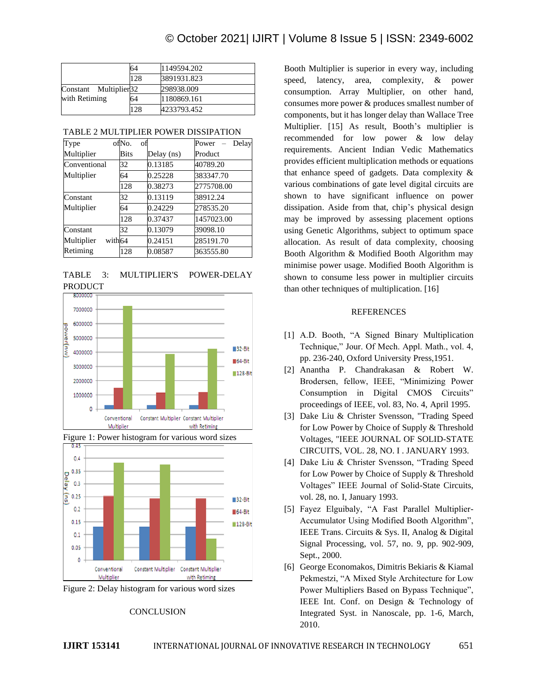|               |                       | 64          | 1149594.202 |
|---------------|-----------------------|-------------|-------------|
|               |                       | 128         | 3891931.823 |
|               | Constant Multiplier32 |             | 298938.009  |
| with Retiming | 64                    | 1180869.161 |             |
|               |                       | 128         | 4233793.452 |

| Type                 | ofNo.<br>of |            | Delay<br>Power |
|----------------------|-------------|------------|----------------|
| Multiplier           | <b>Bits</b> | Delay (ns) | Product        |
| Conventional         | 32          | 0.13185    | 40789.20       |
| Multiplier           | 64          | 0.25228    | 383347.70      |
|                      | 128         | 0.38273    | 2775708.00     |
| Constant             | 32          | 0.13119    | 38912.24       |
| Multiplier           | 64          | 0.24229    | 278535.20      |
|                      | 128         | 0.37437    | 1457023.00     |
| Constant             | 32          | 0.13079    | 39098.10       |
| Multiplier<br>with64 |             | 0.24151    | 285191.70      |
| Retiming             | 128         | 0.08587    | 363555.80      |

TABLE 3: MULTIPLIER'S POWER-DELAY PRODUCT









### **CONCLUSION**

Booth Multiplier is superior in every way, including speed, latency, area, complexity, & power consumption. Array Multiplier, on other hand, consumes more power & produces smallest number of components, but it has longer delay than Wallace Tree Multiplier. [15] As result, Booth's multiplier is recommended for low power & low delay requirements. Ancient Indian Vedic Mathematics provides efficient multiplication methods or equations that enhance speed of gadgets. Data complexity & various combinations of gate level digital circuits are shown to have significant influence on power dissipation. Aside from that, chip's physical design may be improved by assessing placement options using Genetic Algorithms, subject to optimum space allocation. As result of data complexity, choosing Booth Algorithm & Modified Booth Algorithm may minimise power usage. Modified Booth Algorithm is shown to consume less power in multiplier circuits than other techniques of multiplication. [16]

#### REFERENCES

- [1] A.D. Booth, "A Signed Binary Multiplication Technique," Jour. Of Mech. Appl. Math., vol. 4, pp. 236-240, Oxford University Press,1951.
- [2] Anantha P. Chandrakasan & Robert W. Brodersen, fellow, IEEE, "Minimizing Power Consumption in Digital CMOS Circuits" proceedings of IEEE, vol. 83, No. 4, April 1995.
- [3] Dake Liu & Christer Svensson, "Trading Speed for Low Power by Choice of Supply & Threshold Voltages, "IEEE JOURNAL OF SOLID-STATE CIRCUITS, VOL. 28, NO. I . JANUARY 1993.
- [4] Dake Liu & Christer Svensson, "Trading Speed for Low Power by Choice of Supply & Threshold Voltages" IEEE Journal of Solid-State Circuits, vol. 28, no. I, January 1993.
- [5] Fayez Elguibaly, "A Fast Parallel Multiplier-Accumulator Using Modified Booth Algorithm", IEEE Trans. Circuits & Sys. II, Analog & Digital Signal Processing, vol. 57, no. 9, pp. 902-909, Sept., 2000.
- [6] George Economakos, Dimitris Bekiaris & Kiamal Pekmestzi, "A Mixed Style Architecture for Low Power Multipliers Based on Bypass Technique", IEEE Int. Conf. on Design & Technology of Integrated Syst. in Nanoscale, pp. 1-6, March, 2010.